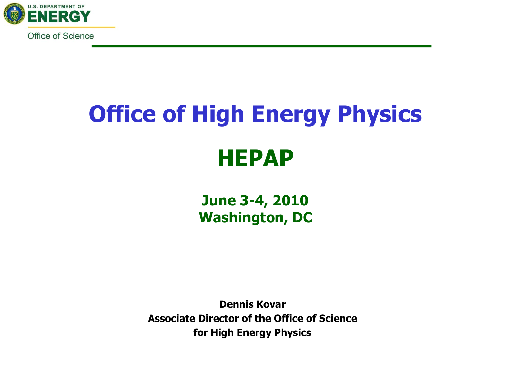

# **Office of High Energy Physics HEPAP**

**June 3-4, 2010 Washington, DC**

**Dennis Kovar Associate Director of the Office of Science for High Energy Physics**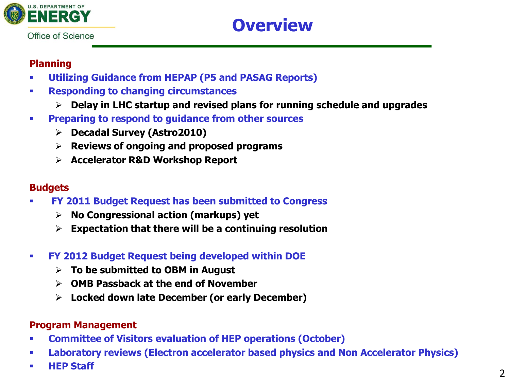

# **Overview**

#### **Planning**

- **Utilizing Guidance from HEPAP (P5 and PASAG Reports)**
- **Responding to changing circumstances**
	- **Delay in LHC startup and revised plans for running schedule and upgrades**
- **Preparing to respond to guidance from other sources**
	- **Decadal Survey (Astro2010)**
	- **Reviews of ongoing and proposed programs**
	- **Accelerator R&D Workshop Report**

#### **Budgets**

- **FY 2011 Budget Request has been submitted to Congress**
	- **No Congressional action (markups) yet**
	- **Expectation that there will be a continuing resolution**
- **FY 2012 Budget Request being developed within DOE**
	- **To be submitted to OBM in August**
	- **OMB Passback at the end of November**
	- **Locked down late December (or early December)**

#### **Program Management**

- **Committee of Visitors evaluation of HEP operations (October)**
- **Laboratory reviews (Electron accelerator based physics and Non Accelerator Physics)**
- **HEP Staff**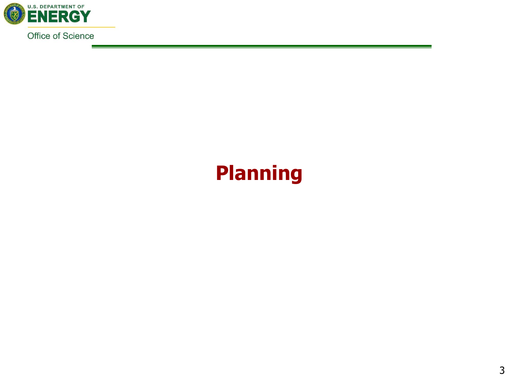

# **Planning**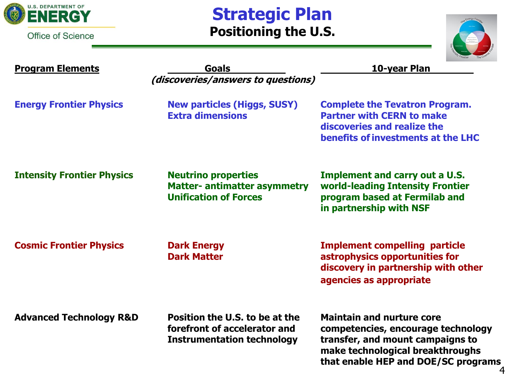

### **Strategic Plan Positioning the U.S.**



4

| <b>Program Elements</b>            | <b>Goals</b><br>(discoveries/answers to questions)                                                  | 10-year Plan                                                                                                                                                                          |
|------------------------------------|-----------------------------------------------------------------------------------------------------|---------------------------------------------------------------------------------------------------------------------------------------------------------------------------------------|
| <b>Energy Frontier Physics</b>     | <b>New particles (Higgs, SUSY)</b><br><b>Extra dimensions</b>                                       | <b>Complete the Tevatron Program.</b><br><b>Partner with CERN to make</b><br>discoveries and realize the<br>benefits of investments at the LHC                                        |
| <b>Intensity Frontier Physics</b>  | <b>Neutrino properties</b><br><b>Matter- antimatter asymmetry</b><br><b>Unification of Forces</b>   | <b>Implement and carry out a U.S.</b><br>world-leading Intensity Frontier<br>program based at Fermilab and<br>in partnership with NSF                                                 |
| <b>Cosmic Frontier Physics</b>     | <b>Dark Energy</b><br><b>Dark Matter</b>                                                            | <b>Implement compelling particle</b><br>astrophysics opportunities for<br>discovery in partnership with other<br>agencies as appropriate                                              |
| <b>Advanced Technology R&amp;D</b> | Position the U.S. to be at the<br>forefront of accelerator and<br><b>Instrumentation technology</b> | <b>Maintain and nurture core</b><br>competencies, encourage technology<br>transfer, and mount campaigns to<br>make technological breakthroughs<br>that enable HEP and DOE/SC programs |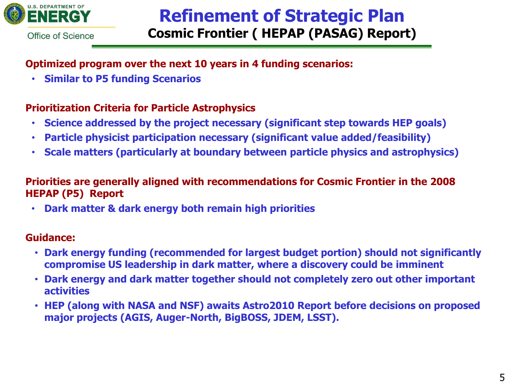

### **Refinement of Strategic Plan Cosmic Frontier ( HEPAP (PASAG) Report)**

Office of Science

### **Optimized program over the next 10 years in 4 funding scenarios:**

• **Similar to P5 funding Scenarios** 

#### **Prioritization Criteria for Particle Astrophysics**

- **Science addressed by the project necessary (significant step towards HEP goals)**
- **Particle physicist participation necessary (significant value added/feasibility)**
- **Scale matters (particularly at boundary between particle physics and astrophysics)**

#### **Priorities are generally aligned with recommendations for Cosmic Frontier in the 2008 HEPAP (P5) Report**

• **Dark matter & dark energy both remain high priorities**

#### **Guidance:**

- **Dark energy funding (recommended for largest budget portion) should not significantly compromise US leadership in dark matter, where a discovery could be imminent**
- **Dark energy and dark matter together should not completely zero out other important activities**
- **HEP (along with NASA and NSF) awaits Astro2010 Report before decisions on proposed major projects (AGIS, Auger-North, BigBOSS, JDEM, LSST).**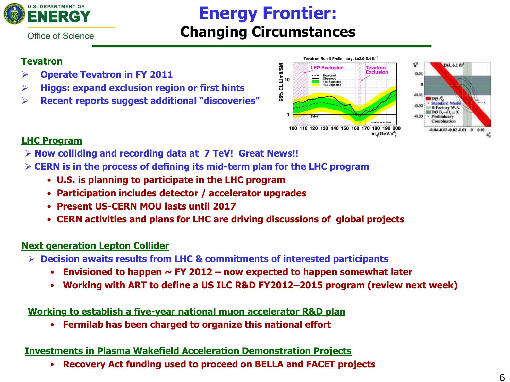

## **Energy Frontier: Changing Circumstances**

Office of Science

#### **Tevatron**

- **Operate Tevatron in FY 2011**
- **Higgs: expand exclusion region or first hints**
- **Recent reports suggest additional "discoveries"**





#### **LHC Program**

- **Now colliding and recording data at 7 TeV! Great News!!**
- **CERN is in the process of defining its mid-term plan for the LHC program**
	- **U.S. is planning to participate in the LHC program**
	- **Participation includes detector / accelerator upgrades**
	- **Present US-CERN MOU lasts until 2017**
	- **CERN activities and plans for LHC are driving discussions of global projects**

#### **Next generation Lepton Collider**

- **Decision awaits results from LHC & commitments of interested participants**
	- **Envisioned to happen ~ FY 2012 – now expected to happen somewhat later**
	- **Working with ART to define a US ILC R&D FY2012–2015 program (review next week)**

#### **Working to establish a five-year national muon accelerator R&D plan**

• **Fermilab has been charged to organize this national effort**

#### **Investments in Plasma Wakefield Acceleration Demonstration Projects**

• **Recovery Act funding used to proceed on BELLA and FACET projects**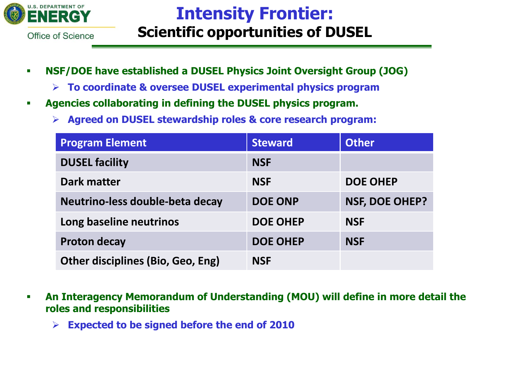

## **Intensity Frontier: Scientific opportunities of DUSEL**

- **NSF/DOE have established a DUSEL Physics Joint Oversight Group (JOG)**
	- **To coordinate & oversee DUSEL experimental physics program**
- **Agencies collaborating in defining the DUSEL physics program.** 
	- **Agreed on DUSEL stewardship roles & core research program:**

| <b>Program Element</b>                   | <b>Steward</b>  | <b>Other</b>          |
|------------------------------------------|-----------------|-----------------------|
| <b>DUSEL facility</b>                    | <b>NSF</b>      |                       |
| <b>Dark matter</b>                       | <b>NSF</b>      | <b>DOE OHEP</b>       |
| Neutrino-less double-beta decay          | <b>DOE ONP</b>  | <b>NSF, DOE OHEP?</b> |
| Long baseline neutrinos                  | <b>DOE OHEP</b> | <b>NSF</b>            |
| <b>Proton decay</b>                      | <b>DOE OHEP</b> | <b>NSF</b>            |
| <b>Other disciplines (Bio, Geo, Eng)</b> | <b>NSF</b>      |                       |

- **An Interagency Memorandum of Understanding (MOU) will define in more detail the roles and responsibilities**
	- **Expected to be signed before the end of 2010**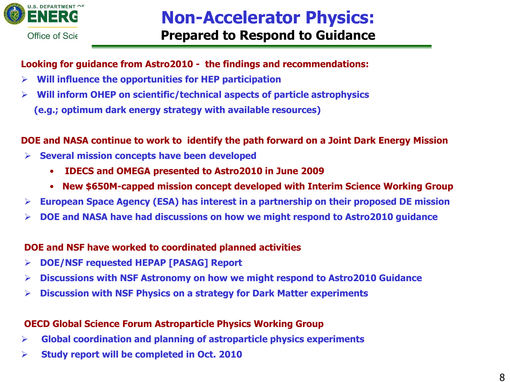

#### **Looking for guidance from Astro2010 - the findings and recommendations:**

- **Will influence the opportunities for HEP participation**
- **Will inform OHEP on scientific/technical aspects of particle astrophysics (e.g.; optimum dark energy strategy with available resources)**

#### **DOE and NASA continue to work to identify the path forward on a Joint Dark Energy Mission**

- **Several mission concepts have been developed**
	- **IDECS and OMEGA presented to Astro2010 in June 2009**
	- **New \$650M-capped mission concept developed with Interim Science Working Group**
- **European Space Agency (ESA) has interest in a partnership on their proposed DE mission**
- **DOE and NASA have had discussions on how we might respond to Astro2010 guidance**

#### **DOE and NSF have worked to coordinated planned activities**

- **DOE/NSF requested HEPAP [PASAG] Report**
- **Discussions with NSF Astronomy on how we might respond to Astro2010 Guidance**
- **Discussion with NSF Physics on a strategy for Dark Matter experiments**

#### **OECD Global Science Forum Astroparticle Physics Working Group**

- **Global coordination and planning of astroparticle physics experiments**
- **Study report will be completed in Oct. 2010**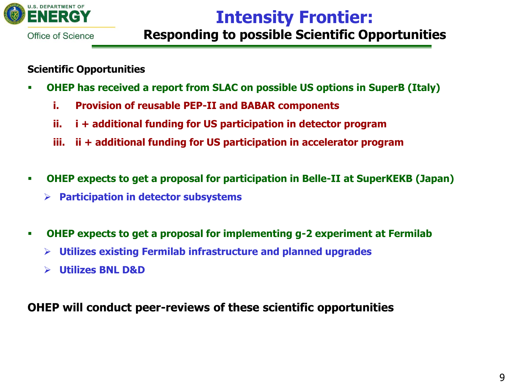

### **Intensity Frontier: Responding to possible Scientific Opportunities**

#### **Scientific Opportunities**

- **OHEP has received a report from SLAC on possible US options in SuperB (Italy)**
	- **i. Provision of reusable PEP-II and BABAR components**
	- **ii. i + additional funding for US participation in detector program**
	- **iii. ii + additional funding for US participation in accelerator program**
- **OHEP expects to get a proposal for participation in Belle-II at SuperKEKB (Japan)**
	- **Participation in detector subsystems**
- **OHEP expects to get a proposal for implementing g-2 experiment at Fermilab**
	- **Utilizes existing Fermilab infrastructure and planned upgrades**
	- **Utilizes BNL D&D**

### **OHEP will conduct peer-reviews of these scientific opportunities**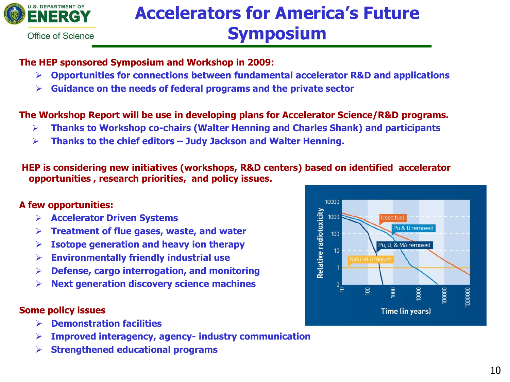

# **Accelerators for America's Future Symposium**

#### **The HEP sponsored Symposium and Workshop in 2009:**

- **Opportunities for connections between fundamental accelerator R&D and applications**
- **Guidance on the needs of federal programs and the private sector**

#### **The Workshop Report will be use in developing plans for Accelerator Science/R&D programs.**

- **Thanks to Workshop co-chairs (Walter Henning and Charles Shank) and participants**
- **Thanks to the chief editors – Judy Jackson and Walter Henning.**

**HEP is considering new initiatives (workshops, R&D centers) based on identified accelerator opportunities , research priorities, and policy issues.** 

#### **A few opportunities:**

- **Accelerator Driven Systems**
- **Treatment of flue gases, waste, and water**
- **Isotope generation and heavy ion therapy**
- **Environmentally friendly industrial use**
- **Defense, cargo interrogation, and monitoring**
- **Next generation discovery science machines**

#### **Some policy issues**

- **Demonstration facilities**
- **Improved interagency, agency- industry communication**
- **Strengthened educational programs**

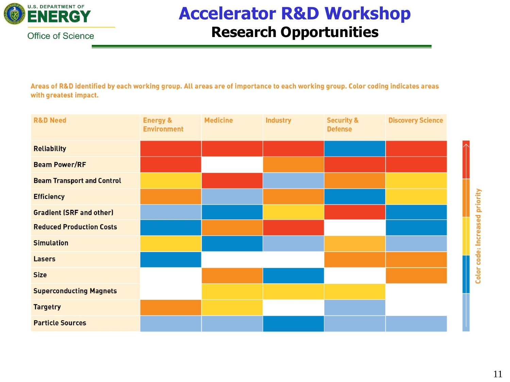

## **Accelerator R&D Workshop Research Opportunities**

Areas of R&D identified by each working group. All areas are of importance to each working group. Color coding indicates areas with greatest impact.

| <b>R&amp;D Need</b>               | <b>Energy &amp;</b><br><b>Environment</b> | <b>Medicine</b> | <b>Industry</b> | <b>Security &amp;</b><br><b>Defense</b> | <b>Discovery Science</b> |
|-----------------------------------|-------------------------------------------|-----------------|-----------------|-----------------------------------------|--------------------------|
| <b>Reliability</b>                |                                           |                 |                 |                                         |                          |
| <b>Beam Power/RF</b>              |                                           |                 |                 |                                         |                          |
| <b>Beam Transport and Control</b> |                                           |                 |                 |                                         |                          |
| <b>Efficiency</b>                 |                                           |                 |                 |                                         |                          |
| <b>Gradient (SRF and other)</b>   |                                           |                 |                 |                                         |                          |
| <b>Reduced Production Costs</b>   |                                           |                 |                 |                                         |                          |
| <b>Simulation</b>                 |                                           |                 |                 |                                         |                          |
| Lasers                            |                                           |                 |                 |                                         |                          |
| <b>Size</b>                       |                                           |                 |                 |                                         |                          |
| <b>Superconducting Magnets</b>    |                                           |                 |                 |                                         |                          |
| <b>Targetry</b>                   |                                           |                 |                 |                                         |                          |
| <b>Particle Sources</b>           |                                           |                 |                 |                                         |                          |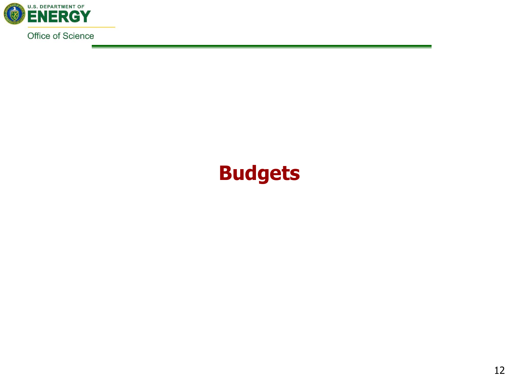

# **Budgets**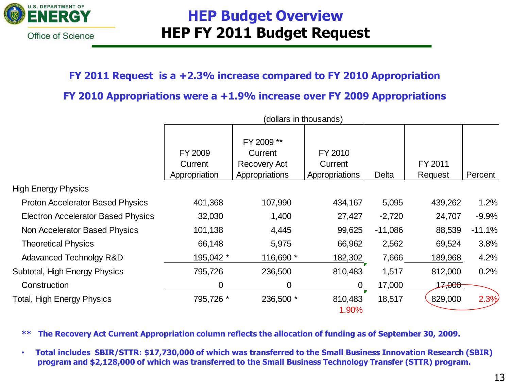

### **HEP Budget Overview HEP FY 2011 Budget Request**

#### **FY 2011 Request is a +2.3% increase compared to FY 2010 Appropriation**

#### **FY 2010 Appropriations were a +1.9% increase over FY 2009 Appropriations**

|                                           | (dollars in thousands)              |                                                                |                                      |           |                    |          |
|-------------------------------------------|-------------------------------------|----------------------------------------------------------------|--------------------------------------|-----------|--------------------|----------|
|                                           | FY 2009<br>Current<br>Appropriation | FY 2009 **<br>Current<br><b>Recovery Act</b><br>Appropriations | FY 2010<br>Current<br>Appropriations | Delta     | FY 2011<br>Request | Percent  |
| <b>High Energy Physics</b>                |                                     |                                                                |                                      |           |                    |          |
| <b>Proton Accelerator Based Physics</b>   | 401,368                             | 107,990                                                        | 434,167                              | 5,095     | 439,262            | 1.2%     |
| <b>Electron Accelerator Based Physics</b> | 32,030                              | 1,400                                                          | 27,427                               | $-2,720$  | 24,707             | $-9.9%$  |
| Non Accelerator Based Physics             | 101,138                             | 4,445                                                          | 99,625                               | $-11,086$ | 88,539             | $-11.1%$ |
| <b>Theoretical Physics</b>                | 66,148                              | 5,975                                                          | 66,962                               | 2,562     | 69,524             | 3.8%     |
| Adavanced Technolgy R&D                   | 195,042 *                           | 116,690 *                                                      | 182,302                              | 7,666     | 189,968            | 4.2%     |
| Subtotal, High Energy Physics             | 795,726                             | 236,500                                                        | 810,483                              | 1,517     | 812,000            | 0.2%     |
| Construction                              | 0                                   | $\mathbf 0$                                                    | $\overline{0}$                       | 17,000    | 17, <del>000</del> |          |
| Total, High Energy Physics                | 795,726 *                           | 236,500 *                                                      | 810,483<br>1.90%                     | 18,517    | 829,000            | 2.3%     |

**\*\* The Recovery Act Current Appropriation column reflects the allocation of funding as of September 30, 2009.** 

• **Total includes SBIR/STTR: \$17,730,000 of which was transferred to the Small Business Innovation Research (SBIR) program and \$2,128,000 of which was transferred to the Small Business Technology Transfer (STTR) program.**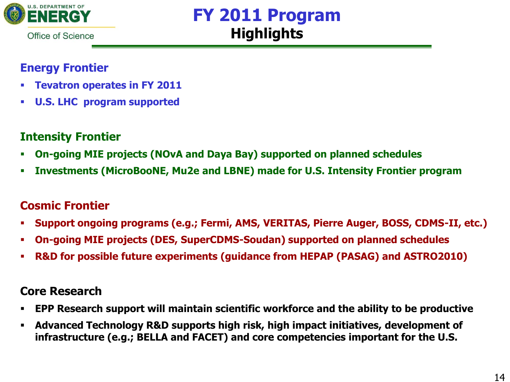

## **FY 2011 Program Highlights**

### **Energy Frontier**

- **Tevatron operates in FY 2011**
- **U.S. LHC program supported**

### **Intensity Frontier**

- **On-going MIE projects (NOvA and Daya Bay) supported on planned schedules**
- **Investments (MicroBooNE, Mu2e and LBNE) made for U.S. Intensity Frontier program**

### **Cosmic Frontier**

- **Support ongoing programs (e.g.; Fermi, AMS, VERITAS, Pierre Auger, BOSS, CDMS-II, etc.)**
- **On-going MIE projects (DES, SuperCDMS-Soudan) supported on planned schedules**
- **R&D for possible future experiments (guidance from HEPAP (PASAG) and ASTRO2010)**

### **Core Research**

- **EPP Research support will maintain scientific workforce and the ability to be productive**
- **Advanced Technology R&D supports high risk, high impact initiatives, development of infrastructure (e.g.; BELLA and FACET) and core competencies important for the U.S.**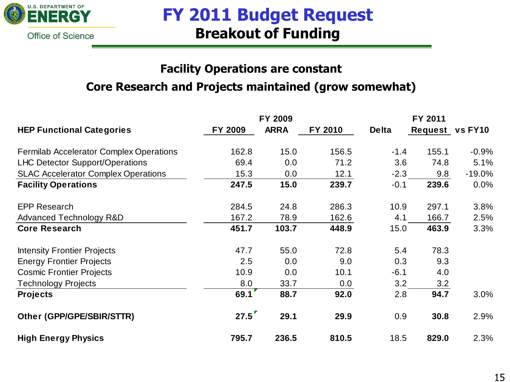

### **FY 2011 Budget Request Breakout of Funding**

### **Facility Operations are constant Core Research and Projects maintained (grow somewhat)**

|                                                |         | FY 2009     |         |              | FY 2011         |           |
|------------------------------------------------|---------|-------------|---------|--------------|-----------------|-----------|
| <b>HEP Functional Categories</b>               | FY 2009 | <b>ARRA</b> | FY 2010 | <b>Delta</b> | Request vs FY10 |           |
| <b>Fermilab Accelerator Complex Operations</b> | 162.8   | 15.0        | 156.5   | $-1.4$       | 155.1           | $-0.9%$   |
| <b>LHC Detector Support/Operations</b>         | 69.4    | 0.0         | 71.2    | 3.6          | 74.8            | 5.1%      |
| <b>SLAC Accelerator Complex Operations</b>     | 15.3    | 0.0         | 12.1    | $-2.3$       | 9.8             | $-19.0\%$ |
| <b>Facility Operations</b>                     | 247.5   | 15.0        | 239.7   | $-0.1$       | 239.6           | $0.0\%$   |
| <b>EPP Research</b>                            | 284.5   | 24.8        | 286.3   | 10.9         | 297.1           | 3.8%      |
| <b>Advanced Technology R&amp;D</b>             | 167.2   | 78.9        | 162.6   | 4.1          | 166.7           | 2.5%      |
| <b>Core Research</b>                           | 451.7   | 103.7       | 448.9   | 15.0         | 463.9           | 3.3%      |
| <b>Intensity Frontier Projects</b>             | 47.7    | 55.0        | 72.8    | 5.4          | 78.3            |           |
| <b>Energy Frontier Projects</b>                | 2.5     | 0.0         | 9.0     | 0.3          | 9.3             |           |
| <b>Cosmic Frontier Projects</b>                | 10.9    | 0.0         | 10.1    | $-6.1$       | 4.0             |           |
| <b>Technology Projects</b>                     | 8.0     | 33.7        | 0.0     | 3.2          | 3.2             |           |
| <b>Projects</b>                                | 69.1    | 88.7        | 92.0    | 2.8          | 94.7            | 3.0%      |
| Other (GPP/GPE/SBIR/STTR)                      | 27.5    | 29.1        | 29.9    | 0.9          | 30.8            | 2.9%      |
| <b>High Energy Physics</b>                     | 795.7   | 236.5       | 810.5   | 18.5         | 829.0           | 2.3%      |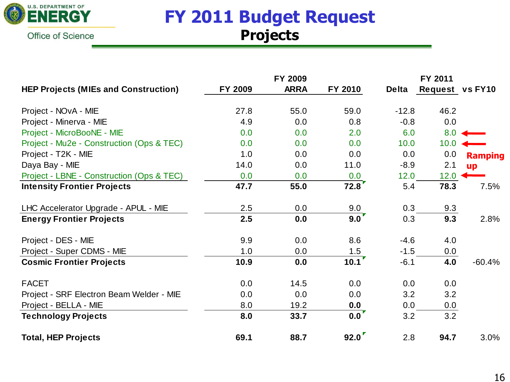

## **FY 2011 Budget Request Projects**

|                                             |         | FY 2009     |                    |              | FY 2011         |                |
|---------------------------------------------|---------|-------------|--------------------|--------------|-----------------|----------------|
| <b>HEP Projects (MIEs and Construction)</b> | FY 2009 | <b>ARRA</b> | FY 2010            | <b>Delta</b> | Request vs FY10 |                |
| Project - NOvA - MIE                        | 27.8    | 55.0        | 59.0               | $-12.8$      | 46.2            |                |
| Project - Minerva - MIE                     | 4.9     | 0.0         | 0.8                | $-0.8$       | 0.0             |                |
| Project - MicroBooNE - MIE                  | 0.0     | 0.0         | 2.0                | 6.0          | 8.0             |                |
| Project - Mu2e - Construction (Ops & TEC)   | 0.0     | 0.0         | 0.0                | 10.0         | 10.0            |                |
| Project - T2K - MIE                         | 1.0     | 0.0         | 0.0                | 0.0          | 0.0             | <b>Ramping</b> |
| Daya Bay - MIE                              | 14.0    | 0.0         | 11.0               | $-8.9$       | 2.1             | up             |
| Project - LBNE - Construction (Ops & TEC)   | 0.0     | 0.0         | 0.0                | 12.0         | 12.0            |                |
| <b>Intensity Frontier Projects</b>          | 47.7    | 55.0        | 72.8               | 5.4          | 78.3            | 7.5%           |
| LHC Accelerator Upgrade - APUL - MIE        | 2.5     | 0.0         | 9.0                | 0.3          | 9.3             |                |
| <b>Energy Frontier Projects</b>             | 2.5     | 0.0         | 9.0                | 0.3          | 9.3             | 2.8%           |
| Project - DES - MIE                         | 9.9     | 0.0         | 8.6                | $-4.6$       | 4.0             |                |
| Project - Super CDMS - MIE                  | 1.0     | 0.0         |                    | $-1.5$       | 0.0             |                |
| <b>Cosmic Frontier Projects</b>             | 10.9    | 0.0         | $\frac{1.5}{10.1}$ | $-6.1$       | 4.0             | $-60.4%$       |
| <b>FACET</b>                                | 0.0     | 14.5        | 0.0                | 0.0          | 0.0             |                |
| Project - SRF Electron Beam Welder - MIE    | 0.0     | 0.0         | 0.0                | 3.2          | 3.2             |                |
| Project - BELLA - MIE                       | 8.0     | 19.2        | 0.0                | 0.0          | 0.0             |                |
| <b>Technology Projects</b>                  | 8.0     | 33.7        | $0.0^{\prime}$     | 3.2          | 3.2             |                |
| <b>Total, HEP Projects</b>                  | 69.1    | 88.7        | 92.0               | 2.8          | 94.7            | 3.0%           |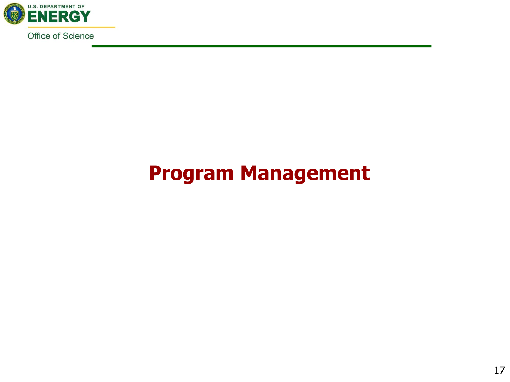

# **Program Management**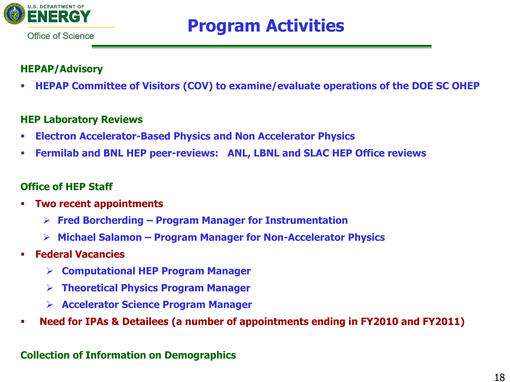

# **Program Activities**

#### **HEPAP/Advisory**

**HEPAP Committee of Visitors (COV) to examine/evaluate operations of the DOE SC OHEP**

#### **HEP Laboratory Reviews**

- **Electron Accelerator-Based Physics and Non Accelerator Physics**
- **Fermilab and BNL HEP peer-reviews: ANL, LBNL and SLAC HEP Office reviews**

#### **Office of HEP Staff**

- **Two recent appointments**
	- **Fred Borcherding – Program Manager for Instrumentation**
	- **Michael Salamon – Program Manager for Non-Accelerator Physics**
- **Federal Vacancies**
	- **Computational HEP Program Manager**
	- **Theoretical Physics Program Manager**
	- **Accelerator Science Program Manager**
- **Need for IPAs & Detailees (a number of appointments ending in FY2010 and FY2011)**

#### **Collection of Information on Demographics**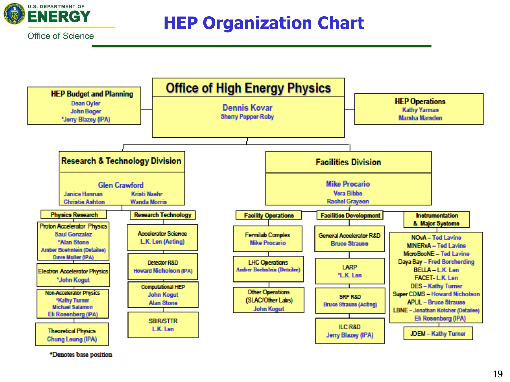

# **HEP Organization Chart**



\*Denotes base position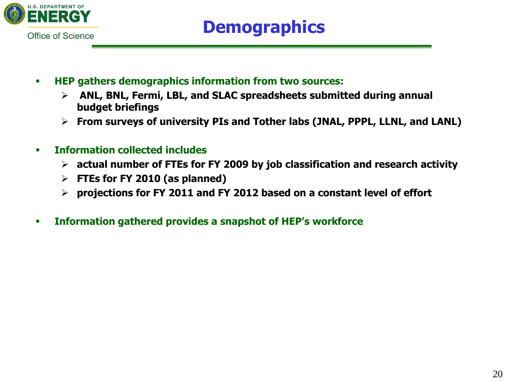

- **HEP gathers demographics information from two sources:**
	- **ANL, BNL, Fermi, LBL, and SLAC spreadsheets submitted during annual budget briefings**
	- **From surveys of university PIs and Tother labs (JNAL, PPPL, LLNL, and LANL)**
- **Information collected includes** 
	- **actual number of FTEs for FY 2009 by job classification and research activity**
	- **FTEs for FY 2010 (as planned)**
	- **projections for FY 2011 and FY 2012 based on a constant level of effort**
- **Information gathered provides a snapshot of HEP's workforce**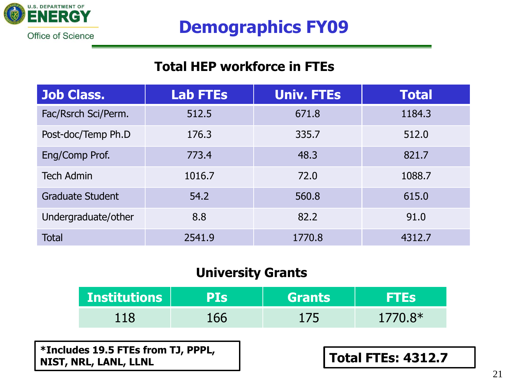

# **Demographics FY09**

### **Total HEP workforce in FTEs**

| <b>Job Class.</b>       | <b>Lab FTEs</b> | <b>Univ. FTEs</b> | <b>Total</b> |
|-------------------------|-----------------|-------------------|--------------|
| Fac/Rsrch Sci/Perm.     | 512.5           | 671.8             | 1184.3       |
| Post-doc/Temp Ph.D      | 176.3           | 335.7             | 512.0        |
| Eng/Comp Prof.          | 773.4           | 48.3              | 821.7        |
| <b>Tech Admin</b>       | 1016.7          | 72.0              | 1088.7       |
| <b>Graduate Student</b> | 54.2            | 560.8             | 615.0        |
| Undergraduate/other     | 8.8             | 82.2              | 91.0         |
| <b>Total</b>            | 2541.9          | 1770.8            | 4312.7       |

### **University Grants**

| <b>Institutions</b> | PIS | Grants | FTES!     |
|---------------------|-----|--------|-----------|
| 118                 |     | 175    | $1770.8*$ |

**\*Includes 19.5 FTEs from TJ, PPPL, NIST, NRL, LANL, LLNL Total FTEs: 4312.7**